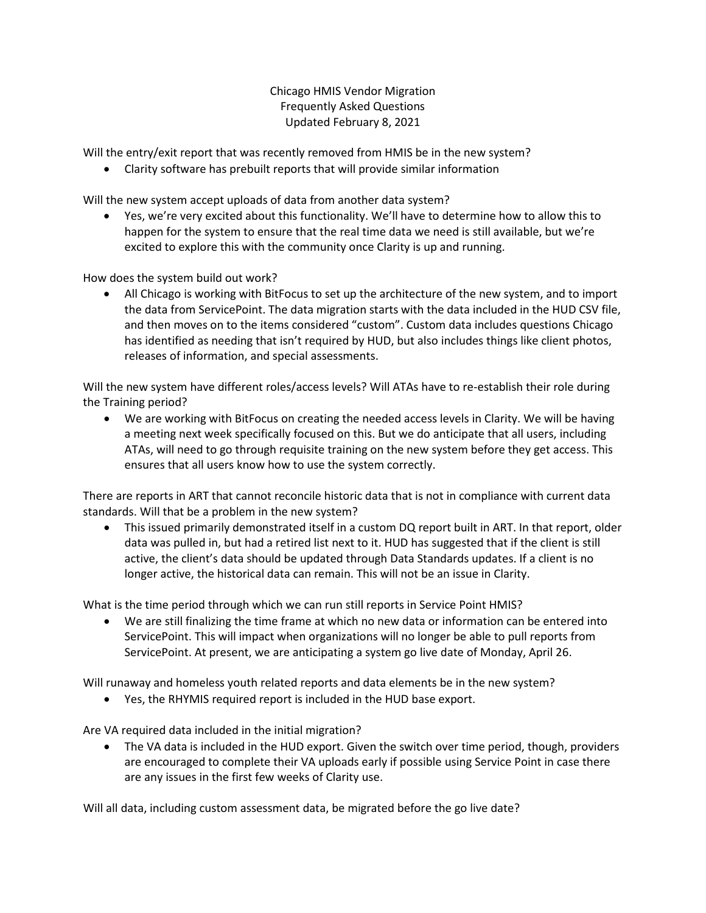Chicago HMIS Vendor Migration Frequently Asked Questions Updated February 8, 2021

Will the entry/exit report that was recently removed from HMIS be in the new system?

• Clarity software has prebuilt reports that will provide similar information

Will the new system accept uploads of data from another data system?

• Yes, we're very excited about this functionality. We'll have to determine how to allow this to happen for the system to ensure that the real time data we need is still available, but we're excited to explore this with the community once Clarity is up and running.

How does the system build out work?

• All Chicago is working with BitFocus to set up the architecture of the new system, and to import the data from ServicePoint. The data migration starts with the data included in the HUD CSV file, and then moves on to the items considered "custom". Custom data includes questions Chicago has identified as needing that isn't required by HUD, but also includes things like client photos, releases of information, and special assessments.

Will the new system have different roles/access levels? Will ATAs have to re-establish their role during the Training period?

• We are working with BitFocus on creating the needed access levels in Clarity. We will be having a meeting next week specifically focused on this. But we do anticipate that all users, including ATAs, will need to go through requisite training on the new system before they get access. This ensures that all users know how to use the system correctly.

There are reports in ART that cannot reconcile historic data that is not in compliance with current data standards. Will that be a problem in the new system?

• This issued primarily demonstrated itself in a custom DQ report built in ART. In that report, older data was pulled in, but had a retired list next to it. HUD has suggested that if the client is still active, the client's data should be updated through Data Standards updates. If a client is no longer active, the historical data can remain. This will not be an issue in Clarity.

What is the time period through which we can run still reports in Service Point HMIS?

• We are still finalizing the time frame at which no new data or information can be entered into ServicePoint. This will impact when organizations will no longer be able to pull reports from ServicePoint. At present, we are anticipating a system go live date of Monday, April 26.

Will runaway and homeless youth related reports and data elements be in the new system?

• Yes, the RHYMIS required report is included in the HUD base export.

Are VA required data included in the initial migration?

• The VA data is included in the HUD export. Given the switch over time period, though, providers are encouraged to complete their VA uploads early if possible using Service Point in case there are any issues in the first few weeks of Clarity use.

Will all data, including custom assessment data, be migrated before the go live date?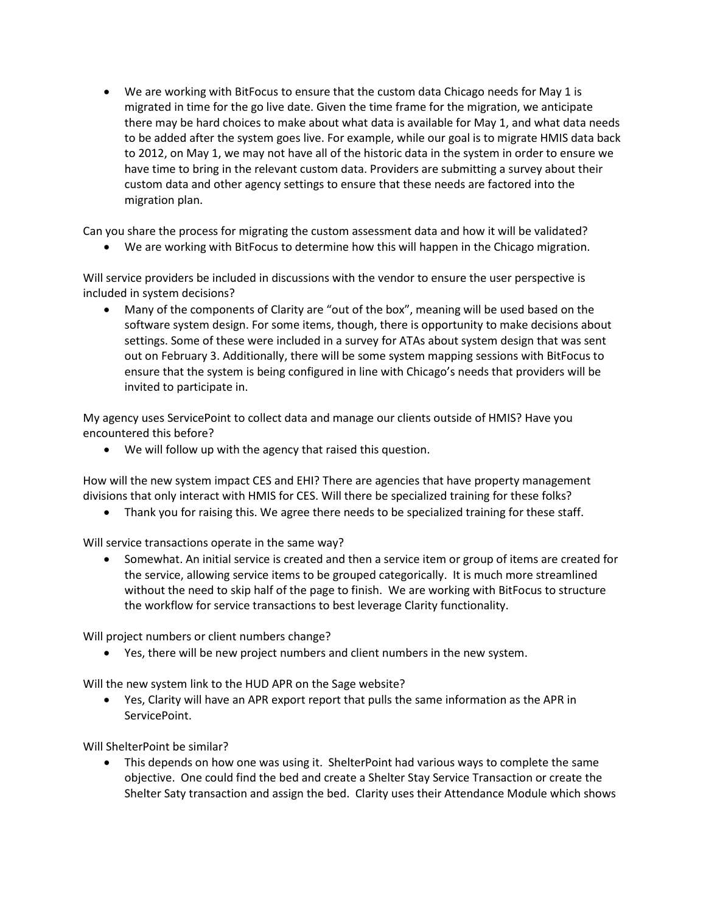• We are working with BitFocus to ensure that the custom data Chicago needs for May 1 is migrated in time for the go live date. Given the time frame for the migration, we anticipate there may be hard choices to make about what data is available for May 1, and what data needs to be added after the system goes live. For example, while our goal is to migrate HMIS data back to 2012, on May 1, we may not have all of the historic data in the system in order to ensure we have time to bring in the relevant custom data. Providers are submitting a survey about their custom data and other agency settings to ensure that these needs are factored into the migration plan.

Can you share the process for migrating the custom assessment data and how it will be validated?

• We are working with BitFocus to determine how this will happen in the Chicago migration.

Will service providers be included in discussions with the vendor to ensure the user perspective is included in system decisions?

• Many of the components of Clarity are "out of the box", meaning will be used based on the software system design. For some items, though, there is opportunity to make decisions about settings. Some of these were included in a survey for ATAs about system design that was sent out on February 3. Additionally, there will be some system mapping sessions with BitFocus to ensure that the system is being configured in line with Chicago's needs that providers will be invited to participate in.

My agency uses ServicePoint to collect data and manage our clients outside of HMIS? Have you encountered this before?

• We will follow up with the agency that raised this question.

How will the new system impact CES and EHI? There are agencies that have property management divisions that only interact with HMIS for CES. Will there be specialized training for these folks?

• Thank you for raising this. We agree there needs to be specialized training for these staff.

Will service transactions operate in the same way?

• Somewhat. An initial service is created and then a service item or group of items are created for the service, allowing service items to be grouped categorically. It is much more streamlined without the need to skip half of the page to finish. We are working with BitFocus to structure the workflow for service transactions to best leverage Clarity functionality.

Will project numbers or client numbers change?

• Yes, there will be new project numbers and client numbers in the new system.

Will the new system link to the HUD APR on the Sage website?

• Yes, Clarity will have an APR export report that pulls the same information as the APR in ServicePoint.

Will ShelterPoint be similar?

• This depends on how one was using it. ShelterPoint had various ways to complete the same objective. One could find the bed and create a Shelter Stay Service Transaction or create the Shelter Saty transaction and assign the bed. Clarity uses their Attendance Module which shows